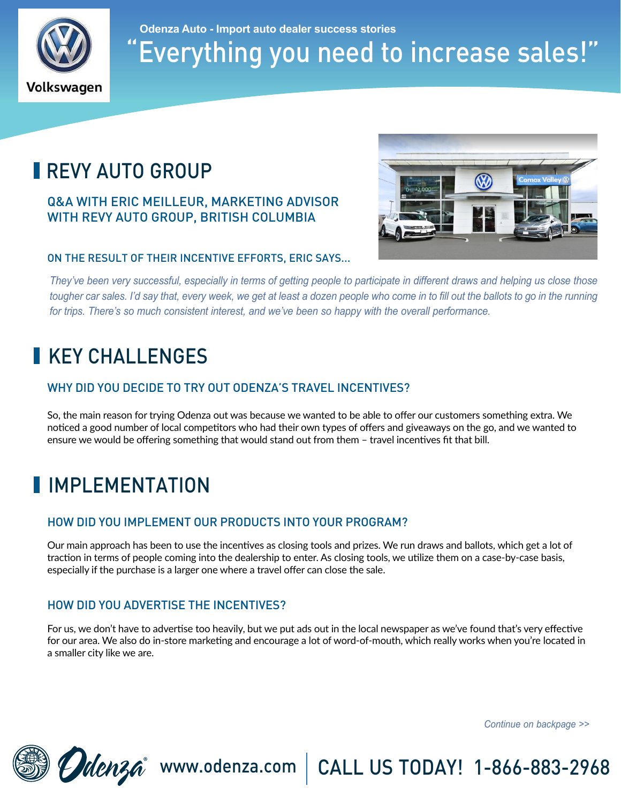

## "Everything you need to increase sales!" **Odenza Auto - Import auto dealer success stories**

# **REVY AUTO GROUP**

#### Q&A WITH ERIC MEILLEUR, MARKETING ADVISOR WITH REVY AUTO GROUP, BRITISH COLUMBIA



#### ON THE RESULT OF THEIR INCENTIVE EFFORTS, ERIC SAYS...

*They've been very successful, especially in terms of getting people to participate in different draws and helping us close those tougher car sales. I'd say that, every week, we get at least a dozen people who come in to fill out the ballots to go in the running for trips. There's so much consistent interest, and we've been so happy with the overall performance.*

## **KEY CHALLENGES**

#### WHY DID YOU DECIDE TO TRY OUT ODENZA'S TRAVEL INCENTIVES?

So, the main reason for trying Odenza out was because we wanted to be able to offer our customers something extra. We noticed a good number of local competitors who had their own types of offers and giveaways on the go, and we wanted to ensure we would be offering something that would stand out from them – travel incentives fit that bill.

# **I**IMPLEMENTATION

#### HOW DID YOU IMPLEMENT OUR PRODUCTS INTO YOUR PROGRAM?

Our main approach has been to use the incentives as closing tools and prizes. We run draws and ballots, which get a lot of traction in terms of people coming into the dealership to enter. As closing tools, we utilize them on a case-by-case basis, especially if the purchase is a larger one where a travel offer can close the sale.

#### HOW DID YOU ADVERTISE THE INCENTIVES?

For us, we don't have to advertise too heavily, but we put ads out in the local newspaper as we've found that's very effective for our area. We also do in-store marketing and encourage a lot of word-of-mouth, which really works when you're located in a smaller city like we are.

*Continue on backpage >>*



Walenza<sup>®</sup> www.odenza.com | CALL US TODAY! 1-866-883-2968